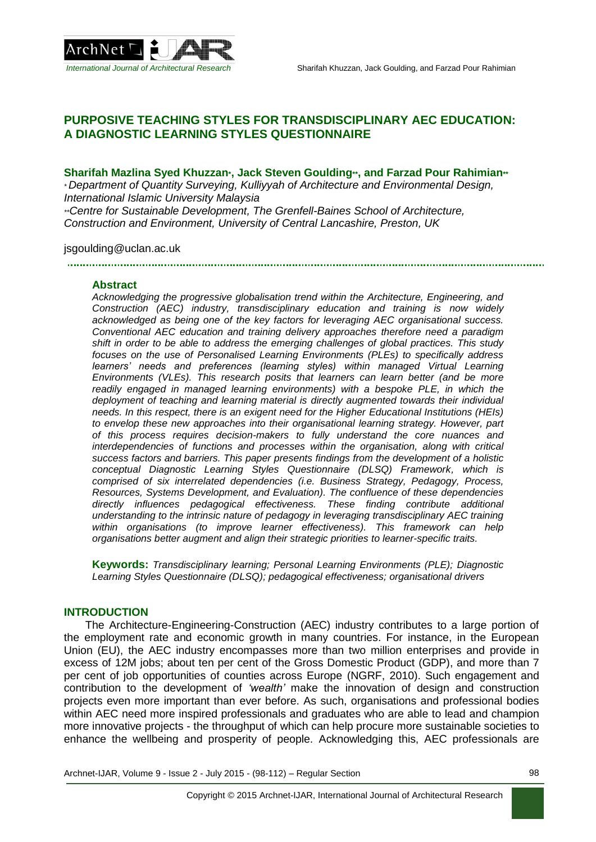

# **PURPOSIVE TEACHING STYLES FOR TRANSDISCIPLINARY AEC EDUCATION: A DIAGNOSTIC LEARNING STYLES QUESTIONNAIRE**

### **Sharifah Mazlina Syed Khuzzan\*, Jack Steven Goulding\*\*, and Farzad Pour Rahimian\*\***

*\* Department of Quantity Surveying, Kulliyyah of Architecture and Environmental Design, International Islamic University Malaysia*

*\*\*Centre for Sustainable Development, The Grenfell-Baines School of Architecture, Construction and Environment, University of Central Lancashire, Preston, UK*

### jsgoulding@uclan.ac.uk

#### **Abstract**

*Acknowledging the progressive globalisation trend within the Architecture, Engineering, and Construction (AEC) industry, transdisciplinary education and training is now widely acknowledged as being one of the key factors for leveraging AEC organisational success. Conventional AEC education and training delivery approaches therefore need a paradigm shift in order to be able to address the emerging challenges of global practices. This study focuses on the use of Personalised Learning Environments (PLEs) to specifically address learners' needs and preferences (learning styles) within managed Virtual Learning Environments (VLEs). This research posits that learners can learn better (and be more readily engaged in managed learning environments) with a bespoke PLE, in which the deployment of teaching and learning material is directly augmented towards their individual needs. In this respect, there is an exigent need for the Higher Educational Institutions (HEIs) to envelop these new approaches into their organisational learning strategy. However, part of this process requires decision-makers to fully understand the core nuances and interdependencies of functions and processes within the organisation, along with critical success factors and barriers. This paper presents findings from the development of a holistic conceptual Diagnostic Learning Styles Questionnaire (DLSQ) Framework, which is comprised of six interrelated dependencies (i.e. Business Strategy, Pedagogy, Process, Resources, Systems Development, and Evaluation). The confluence of these dependencies directly influences pedagogical effectiveness. These finding contribute additional understanding to the intrinsic nature of pedagogy in leveraging transdisciplinary AEC training within organisations (to improve learner effectiveness). This framework can help organisations better augment and align their strategic priorities to learner-specific traits.*

**Keywords:** *Transdisciplinary learning; Personal Learning Environments (PLE); Diagnostic Learning Styles Questionnaire (DLSQ); pedagogical effectiveness; organisational drivers*

### **INTRODUCTION**

The Architecture-Engineering-Construction (AEC) industry contributes to a large portion of the employment rate and economic growth in many countries. For instance, in the European Union (EU), the AEC industry encompasses more than two million enterprises and provide in excess of 12M jobs; about ten per cent of the Gross Domestic Product (GDP), and more than 7 per cent of job opportunities of counties across Europe (NGRF, 2010). Such engagement and contribution to the development of *'wealth'* make the innovation of design and construction projects even more important than ever before. As such, organisations and professional bodies within AEC need more inspired professionals and graduates who are able to lead and champion more innovative projects - the throughput of which can help procure more sustainable societies to enhance the wellbeing and prosperity of people. Acknowledging this, AEC professionals are

Archnet-IJAR, Volume 9 - Issue 2 - July 2015 - (98-112) – Regular Section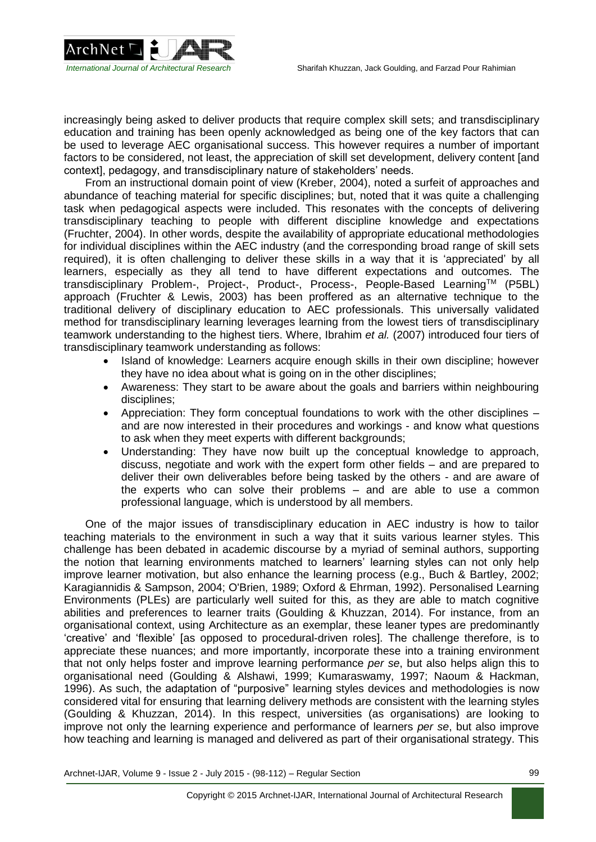

increasingly being asked to deliver products that require complex skill sets; and transdisciplinary education and training has been openly acknowledged as being one of the key factors that can be used to leverage AEC organisational success. This however requires a number of important factors to be considered, not least, the appreciation of skill set development, delivery content [and context], pedagogy, and transdisciplinary nature of stakeholders' needs.

From an instructional domain point of view (Kreber, 2004), noted a surfeit of approaches and abundance of teaching material for specific disciplines; but, noted that it was quite a challenging task when pedagogical aspects were included. This resonates with the concepts of delivering transdisciplinary teaching to people with different discipline knowledge and expectations (Fruchter, 2004). In other words, despite the availability of appropriate educational methodologies for individual disciplines within the AEC industry (and the corresponding broad range of skill sets required), it is often challenging to deliver these skills in a way that it is 'appreciated' by all learners, especially as they all tend to have different expectations and outcomes. The transdisciplinary Problem-, Project-, Product-, Process-, People-Based LearningTM (P5BL) approach (Fruchter & Lewis, 2003) has been proffered as an alternative technique to the traditional delivery of disciplinary education to AEC professionals. This universally validated method for transdisciplinary learning leverages learning from the lowest tiers of transdisciplinary teamwork understanding to the highest tiers. Where, Ibrahim *et al.* (2007) introduced four tiers of transdisciplinary teamwork understanding as follows:

- Island of knowledge: Learners acquire enough skills in their own discipline: however they have no idea about what is going on in the other disciplines;
- Awareness: They start to be aware about the goals and barriers within neighbouring disciplines;
- Appreciation: They form conceptual foundations to work with the other disciplines and are now interested in their procedures and workings - and know what questions to ask when they meet experts with different backgrounds;
- Understanding: They have now built up the conceptual knowledge to approach, discuss, negotiate and work with the expert form other fields – and are prepared to deliver their own deliverables before being tasked by the others - and are aware of the experts who can solve their problems – and are able to use a common professional language, which is understood by all members.

One of the major issues of transdisciplinary education in AEC industry is how to tailor teaching materials to the environment in such a way that it suits various learner styles. This challenge has been debated in academic discourse by a myriad of seminal authors, supporting the notion that learning environments matched to learners' learning styles can not only help improve learner motivation, but also enhance the learning process (e.g., Buch & Bartley, 2002; Karagiannidis & Sampson, 2004; O'Brien, 1989; Oxford & Ehrman, 1992). Personalised Learning Environments (PLEs) are particularly well suited for this, as they are able to match cognitive abilities and preferences to learner traits (Goulding & Khuzzan, 2014). For instance, from an organisational context, using Architecture as an exemplar, these leaner types are predominantly 'creative' and 'flexible' [as opposed to procedural-driven roles]. The challenge therefore, is to appreciate these nuances; and more importantly, incorporate these into a training environment that not only helps foster and improve learning performance *per se*, but also helps align this to organisational need (Goulding & Alshawi, 1999; Kumaraswamy, 1997; Naoum & Hackman, 1996). As such, the adaptation of "purposive" learning styles devices and methodologies is now considered vital for ensuring that learning delivery methods are consistent with the learning styles (Goulding & Khuzzan, 2014). In this respect, universities (as organisations) are looking to improve not only the learning experience and performance of learners *per se*, but also improve how teaching and learning is managed and delivered as part of their organisational strategy. This

Archnet-IJAR, Volume 9 - Issue 2 - July 2015 - (98-112) – Regular Section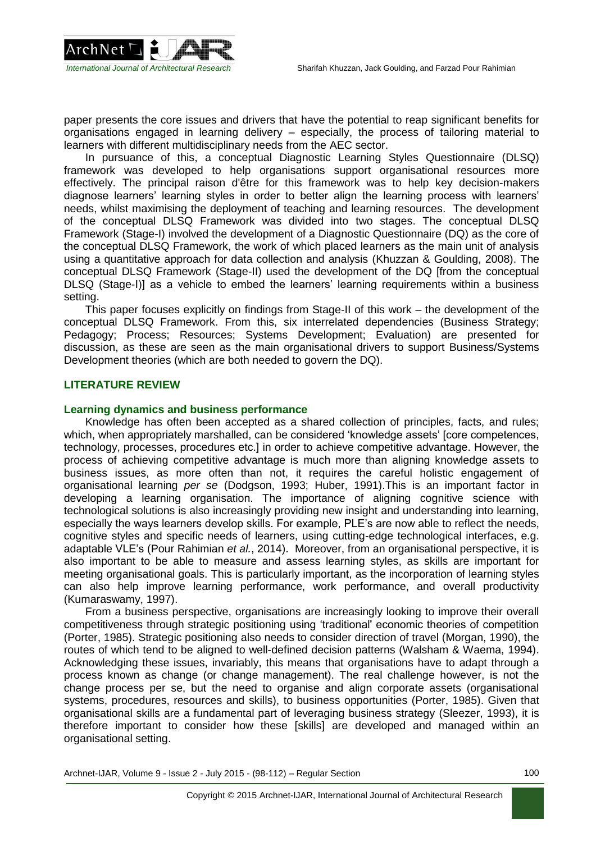

paper presents the core issues and drivers that have the potential to reap significant benefits for organisations engaged in learning delivery – especially, the process of tailoring material to learners with different multidisciplinary needs from the AEC sector.

In pursuance of this, a conceptual Diagnostic Learning Styles Questionnaire (DLSQ) framework was developed to help organisations support organisational resources more effectively. The principal raison d'être for this framework was to help key decision-makers diagnose learners' learning styles in order to better align the learning process with learners' needs, whilst maximising the deployment of teaching and learning resources. The development of the conceptual DLSQ Framework was divided into two stages. The conceptual DLSQ Framework (Stage-I) involved the development of a Diagnostic Questionnaire (DQ) as the core of the conceptual DLSQ Framework, the work of which placed learners as the main unit of analysis using a quantitative approach for data collection and analysis (Khuzzan & Goulding, 2008). The conceptual DLSQ Framework (Stage-II) used the development of the DQ [from the conceptual DLSQ (Stage-I)] as a vehicle to embed the learners' learning requirements within a business setting.

This paper focuses explicitly on findings from Stage-II of this work – the development of the conceptual DLSQ Framework. From this, six interrelated dependencies (Business Strategy; Pedagogy; Process; Resources; Systems Development; Evaluation) are presented for discussion, as these are seen as the main organisational drivers to support Business/Systems Development theories (which are both needed to govern the DQ).

### **LITERATURE REVIEW**

#### **Learning dynamics and business performance**

Knowledge has often been accepted as a shared collection of principles, facts, and rules; which, when appropriately marshalled, can be considered 'knowledge assets' [core competences, technology, processes, procedures etc.] in order to achieve competitive advantage. However, the process of achieving competitive advantage is much more than aligning knowledge assets to business issues, as more often than not, it requires the careful holistic engagement of organisational learning *per se* (Dodgson, 1993; Huber, 1991).This is an important factor in developing a learning organisation. The importance of aligning cognitive science with technological solutions is also increasingly providing new insight and understanding into learning, especially the ways learners develop skills. For example, PLE's are now able to reflect the needs, cognitive styles and specific needs of learners, using cutting-edge technological interfaces, e.g. adaptable VLE's (Pour Rahimian *et al.*, 2014). Moreover, from an organisational perspective, it is also important to be able to measure and assess learning styles, as skills are important for meeting organisational goals. This is particularly important, as the incorporation of learning styles can also help improve learning performance, work performance, and overall productivity (Kumaraswamy, 1997).

From a business perspective, organisations are increasingly looking to improve their overall competitiveness through strategic positioning using 'traditional' economic theories of competition (Porter, 1985). Strategic positioning also needs to consider direction of travel (Morgan, 1990), the routes of which tend to be aligned to well-defined decision patterns (Walsham & Waema, 1994). Acknowledging these issues, invariably, this means that organisations have to adapt through a process known as change (or change management). The real challenge however, is not the change process per se, but the need to organise and align corporate assets (organisational systems, procedures, resources and skills), to business opportunities (Porter, 1985). Given that organisational skills are a fundamental part of leveraging business strategy (Sleezer, 1993), it is therefore important to consider how these [skills] are developed and managed within an organisational setting.

Archnet-IJAR, Volume 9 - Issue 2 - July 2015 - (98-112) – Regular Section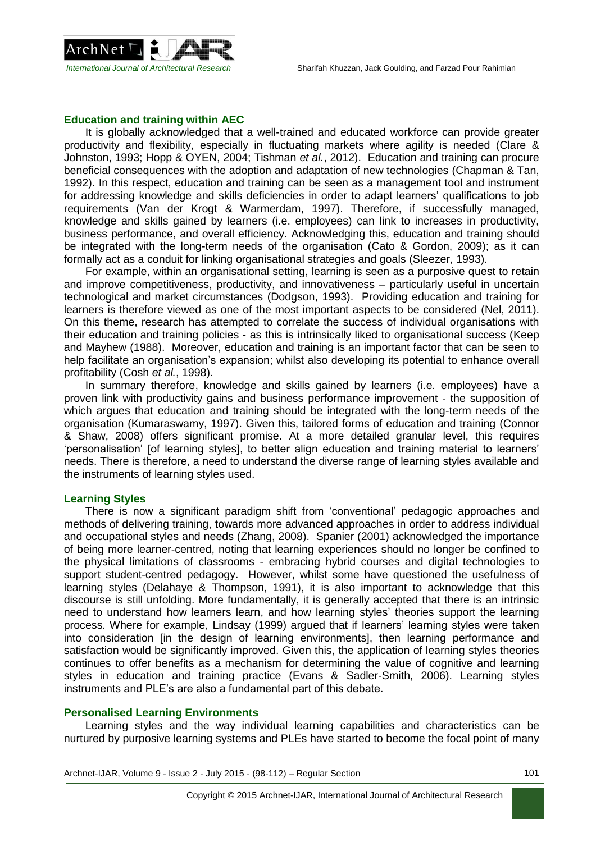

# **Education and training within AEC**

It is globally acknowledged that a well-trained and educated workforce can provide greater productivity and flexibility, especially in fluctuating markets where agility is needed (Clare & Johnston, 1993; Hopp & OYEN, 2004; Tishman *et al.*, 2012). Education and training can procure beneficial consequences with the adoption and adaptation of new technologies (Chapman & Tan, 1992). In this respect, education and training can be seen as a management tool and instrument for addressing knowledge and skills deficiencies in order to adapt learners' qualifications to job requirements (Van der Krogt & Warmerdam, 1997). Therefore, if successfully managed, knowledge and skills gained by learners (i.e. employees) can link to increases in productivity, business performance, and overall efficiency. Acknowledging this, education and training should be integrated with the long-term needs of the organisation (Cato & Gordon, 2009); as it can formally act as a conduit for linking organisational strategies and goals (Sleezer, 1993).

For example, within an organisational setting, learning is seen as a purposive quest to retain and improve competitiveness, productivity, and innovativeness – particularly useful in uncertain technological and market circumstances (Dodgson, 1993). Providing education and training for learners is therefore viewed as one of the most important aspects to be considered (Nel, 2011). On this theme, research has attempted to correlate the success of individual organisations with their education and training policies - as this is intrinsically liked to organisational success (Keep and Mayhew (1988). Moreover, education and training is an important factor that can be seen to help facilitate an organisation's expansion; whilst also developing its potential to enhance overall profitability (Cosh *et al.*, 1998).

In summary therefore, knowledge and skills gained by learners (i.e. employees) have a proven link with productivity gains and business performance improvement - the supposition of which argues that education and training should be integrated with the long-term needs of the organisation (Kumaraswamy, 1997). Given this, tailored forms of education and training (Connor & Shaw, 2008) offers significant promise. At a more detailed granular level, this requires 'personalisation' [of learning styles], to better align education and training material to learners' needs. There is therefore, a need to understand the diverse range of learning styles available and the instruments of learning styles used.

### **Learning Styles**

There is now a significant paradigm shift from 'conventional' pedagogic approaches and methods of delivering training, towards more advanced approaches in order to address individual and occupational styles and needs (Zhang, 2008). Spanier (2001) acknowledged the importance of being more learner-centred, noting that learning experiences should no longer be confined to the physical limitations of classrooms - embracing hybrid courses and digital technologies to support student-centred pedagogy. However, whilst some have questioned the usefulness of learning styles (Delahaye & Thompson, 1991), it is also important to acknowledge that this discourse is still unfolding. More fundamentally, it is generally accepted that there is an intrinsic need to understand how learners learn, and how learning styles' theories support the learning process. Where for example, Lindsay (1999) argued that if learners' learning styles were taken into consideration [in the design of learning environments], then learning performance and satisfaction would be significantly improved. Given this, the application of learning styles theories continues to offer benefits as a mechanism for determining the value of cognitive and learning styles in education and training practice (Evans & Sadler-Smith, 2006). Learning styles instruments and PLE's are also a fundamental part of this debate.

### **Personalised Learning Environments**

Learning styles and the way individual learning capabilities and characteristics can be nurtured by purposive learning systems and PLEs have started to become the focal point of many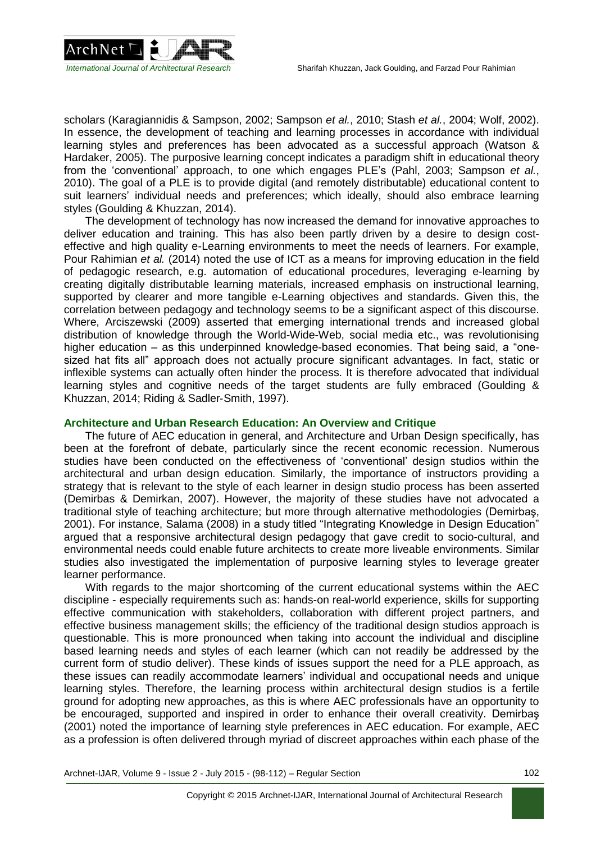

scholars (Karagiannidis & Sampson, 2002; Sampson *et al.*, 2010; Stash *et al.*, 2004; Wolf, 2002). In essence, the development of teaching and learning processes in accordance with individual learning styles and preferences has been advocated as a successful approach (Watson & Hardaker, 2005). The purposive learning concept indicates a paradigm shift in educational theory from the 'conventional' approach, to one which engages PLE's (Pahl, 2003; Sampson *et al.*, 2010). The goal of a PLE is to provide digital (and remotely distributable) educational content to suit learners' individual needs and preferences; which ideally, should also embrace learning styles (Goulding & Khuzzan, 2014).

The development of technology has now increased the demand for innovative approaches to deliver education and training. This has also been partly driven by a desire to design costeffective and high quality e-Learning environments to meet the needs of learners. For example, Pour Rahimian *et al.* (2014) noted the use of ICT as a means for improving education in the field of pedagogic research, e.g. automation of educational procedures, leveraging e-learning by creating digitally distributable learning materials, increased emphasis on instructional learning, supported by clearer and more tangible e-Learning objectives and standards. Given this, the correlation between pedagogy and technology seems to be a significant aspect of this discourse. Where, Arciszewski (2009) asserted that emerging international trends and increased global distribution of knowledge through the World-Wide-Web, social media etc., was revolutionising higher education – as this underpinned knowledge-based economies. That being said, a "onesized hat fits all" approach does not actually procure significant advantages. In fact, static or inflexible systems can actually often hinder the process. It is therefore advocated that individual learning styles and cognitive needs of the target students are fully embraced (Goulding & Khuzzan, 2014; Riding & Sadler‐Smith, 1997).

### **Architecture and Urban Research Education: An Overview and Critique**

The future of AEC education in general, and Architecture and Urban Design specifically, has been at the forefront of debate, particularly since the recent economic recession. Numerous studies have been conducted on the effectiveness of 'conventional' design studios within the architectural and urban design education. Similarly, the importance of instructors providing a strategy that is relevant to the style of each learner in design studio process has been asserted (Demirbas & Demirkan, 2007). However, the majority of these studies have not advocated a traditional style of teaching architecture; but more through alternative methodologies (Demirbaş, 2001). For instance, Salama (2008) in a study titled "Integrating Knowledge in Design Education" argued that a responsive architectural design pedagogy that gave credit to socio-cultural, and environmental needs could enable future architects to create more liveable environments. Similar studies also investigated the implementation of purposive learning styles to leverage greater learner performance.

With regards to the major shortcoming of the current educational systems within the AEC discipline - especially requirements such as: hands-on real-world experience, skills for supporting effective communication with stakeholders, collaboration with different project partners, and effective business management skills; the efficiency of the traditional design studios approach is questionable. This is more pronounced when taking into account the individual and discipline based learning needs and styles of each learner (which can not readily be addressed by the current form of studio deliver). These kinds of issues support the need for a PLE approach, as these issues can readily accommodate learners' individual and occupational needs and unique learning styles. Therefore, the learning process within architectural design studios is a fertile ground for adopting new approaches, as this is where AEC professionals have an opportunity to be encouraged, supported and inspired in order to enhance their overall creativity. Demirbaş (2001) noted the importance of learning style preferences in AEC education. For example, AEC as a profession is often delivered through myriad of discreet approaches within each phase of the

Archnet-IJAR, Volume 9 - Issue 2 - July 2015 - (98-112) – Regular Section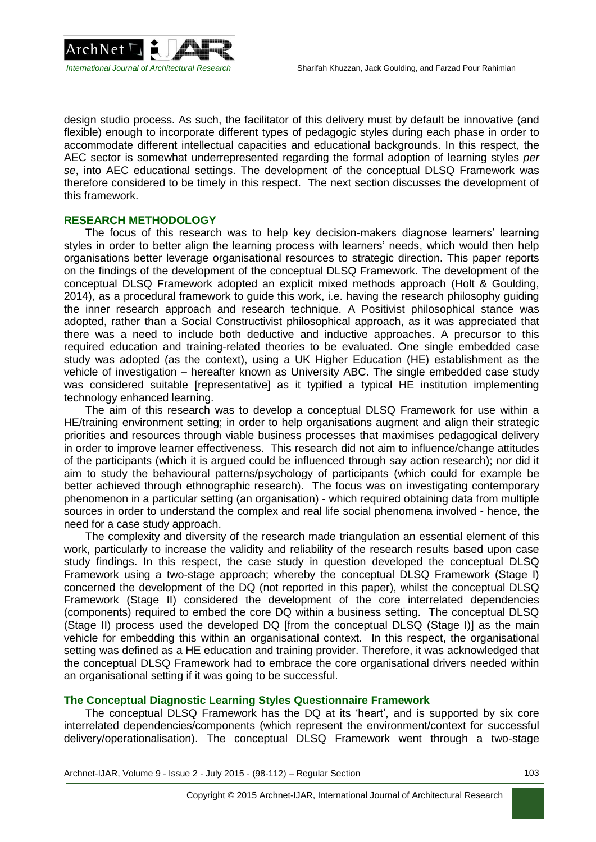

design studio process. As such, the facilitator of this delivery must by default be innovative (and flexible) enough to incorporate different types of pedagogic styles during each phase in order to accommodate different intellectual capacities and educational backgrounds. In this respect, the AEC sector is somewhat underrepresented regarding the formal adoption of learning styles *per se*, into AEC educational settings. The development of the conceptual DLSQ Framework was therefore considered to be timely in this respect. The next section discusses the development of this framework.

# **RESEARCH METHODOLOGY**

The focus of this research was to help key decision-makers diagnose learners' learning styles in order to better align the learning process with learners' needs, which would then help organisations better leverage organisational resources to strategic direction. This paper reports on the findings of the development of the conceptual DLSQ Framework. The development of the conceptual DLSQ Framework adopted an explicit mixed methods approach (Holt & Goulding, 2014), as a procedural framework to guide this work, i.e. having the research philosophy guiding the inner research approach and research technique. A Positivist philosophical stance was adopted, rather than a Social Constructivist philosophical approach, as it was appreciated that there was a need to include both deductive and inductive approaches. A precursor to this required education and training-related theories to be evaluated. One single embedded case study was adopted (as the context), using a UK Higher Education (HE) establishment as the vehicle of investigation – hereafter known as University ABC. The single embedded case study was considered suitable [representative] as it typified a typical HE institution implementing technology enhanced learning.

The aim of this research was to develop a conceptual DLSQ Framework for use within a HE/training environment setting; in order to help organisations augment and align their strategic priorities and resources through viable business processes that maximises pedagogical delivery in order to improve learner effectiveness. This research did not aim to influence/change attitudes of the participants (which it is argued could be influenced through say action research); nor did it aim to study the behavioural patterns/psychology of participants (which could for example be better achieved through ethnographic research). The focus was on investigating contemporary phenomenon in a particular setting (an organisation) - which required obtaining data from multiple sources in order to understand the complex and real life social phenomena involved - hence, the need for a case study approach.

The complexity and diversity of the research made triangulation an essential element of this work, particularly to increase the validity and reliability of the research results based upon case study findings. In this respect, the case study in question developed the conceptual DLSQ Framework using a two-stage approach; whereby the conceptual DLSQ Framework (Stage I) concerned the development of the DQ (not reported in this paper), whilst the conceptual DLSQ Framework (Stage II) considered the development of the core interrelated dependencies (components) required to embed the core DQ within a business setting. The conceptual DLSQ (Stage II) process used the developed DQ [from the conceptual DLSQ (Stage I)] as the main vehicle for embedding this within an organisational context. In this respect, the organisational setting was defined as a HE education and training provider. Therefore, it was acknowledged that the conceptual DLSQ Framework had to embrace the core organisational drivers needed within an organisational setting if it was going to be successful.

# **The Conceptual Diagnostic Learning Styles Questionnaire Framework**

The conceptual DLSQ Framework has the DQ at its 'heart', and is supported by six core interrelated dependencies/components (which represent the environment/context for successful delivery/operationalisation). The conceptual DLSQ Framework went through a two-stage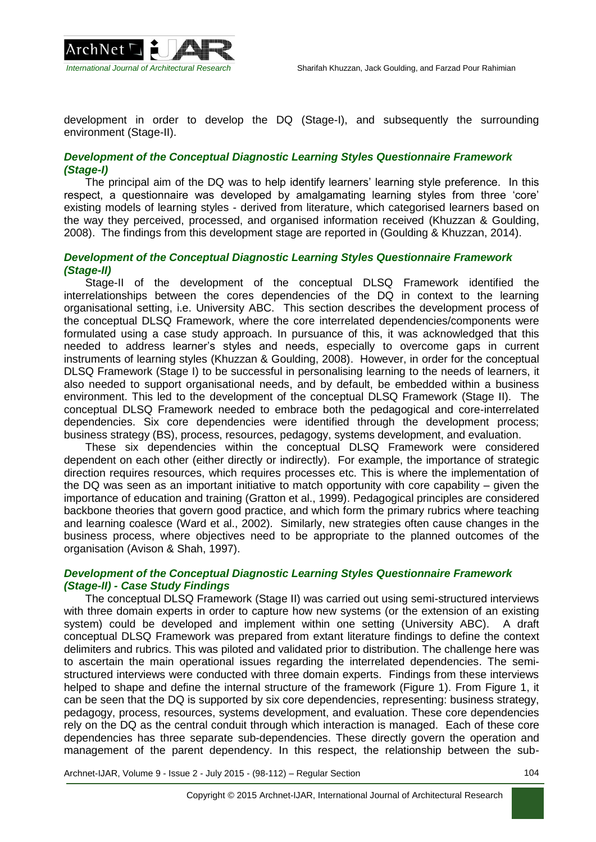

development in order to develop the DQ (Stage-I), and subsequently the surrounding environment (Stage-II).

# *Development of the Conceptual Diagnostic Learning Styles Questionnaire Framework (Stage-I)*

The principal aim of the DQ was to help identify learners' learning style preference. In this respect, a questionnaire was developed by amalgamating learning styles from three 'core' existing models of learning styles - derived from literature, which categorised learners based on the way they perceived, processed, and organised information received (Khuzzan & Goulding, 2008). The findings from this development stage are reported in (Goulding & Khuzzan, 2014).

# *Development of the Conceptual Diagnostic Learning Styles Questionnaire Framework (Stage-II)*

Stage-II of the development of the conceptual DLSQ Framework identified the interrelationships between the cores dependencies of the DQ in context to the learning organisational setting, i.e. University ABC. This section describes the development process of the conceptual DLSQ Framework, where the core interrelated dependencies/components were formulated using a case study approach. In pursuance of this, it was acknowledged that this needed to address learner's styles and needs, especially to overcome gaps in current instruments of learning styles (Khuzzan & Goulding, 2008). However, in order for the conceptual DLSQ Framework (Stage I) to be successful in personalising learning to the needs of learners, it also needed to support organisational needs, and by default, be embedded within a business environment. This led to the development of the conceptual DLSQ Framework (Stage II). The conceptual DLSQ Framework needed to embrace both the pedagogical and core-interrelated dependencies. Six core dependencies were identified through the development process; business strategy (BS), process, resources, pedagogy, systems development, and evaluation.

These six dependencies within the conceptual DLSQ Framework were considered dependent on each other (either directly or indirectly). For example, the importance of strategic direction requires resources, which requires processes etc. This is where the implementation of the DQ was seen as an important initiative to match opportunity with core capability – given the importance of education and training (Gratton et al., 1999). Pedagogical principles are considered backbone theories that govern good practice, and which form the primary rubrics where teaching and learning coalesce (Ward et al., 2002). Similarly, new strategies often cause changes in the business process, where objectives need to be appropriate to the planned outcomes of the organisation (Avison & Shah, 1997).

### *Development of the Conceptual Diagnostic Learning Styles Questionnaire Framework (Stage-II) - Case Study Findings*

The conceptual DLSQ Framework (Stage II) was carried out using semi-structured interviews with three domain experts in order to capture how new systems (or the extension of an existing system) could be developed and implement within one setting (University ABC). A draft conceptual DLSQ Framework was prepared from extant literature findings to define the context delimiters and rubrics. This was piloted and validated prior to distribution. The challenge here was to ascertain the main operational issues regarding the interrelated dependencies. The semistructured interviews were conducted with three domain experts. Findings from these interviews helped to shape and define the internal structure of the framework (Figure 1). From Figure 1, it can be seen that the DQ is supported by six core dependencies, representing: business strategy, pedagogy, process, resources, systems development, and evaluation. These core dependencies rely on the DQ as the central conduit through which interaction is managed. Each of these core dependencies has three separate sub-dependencies. These directly govern the operation and management of the parent dependency. In this respect, the relationship between the sub-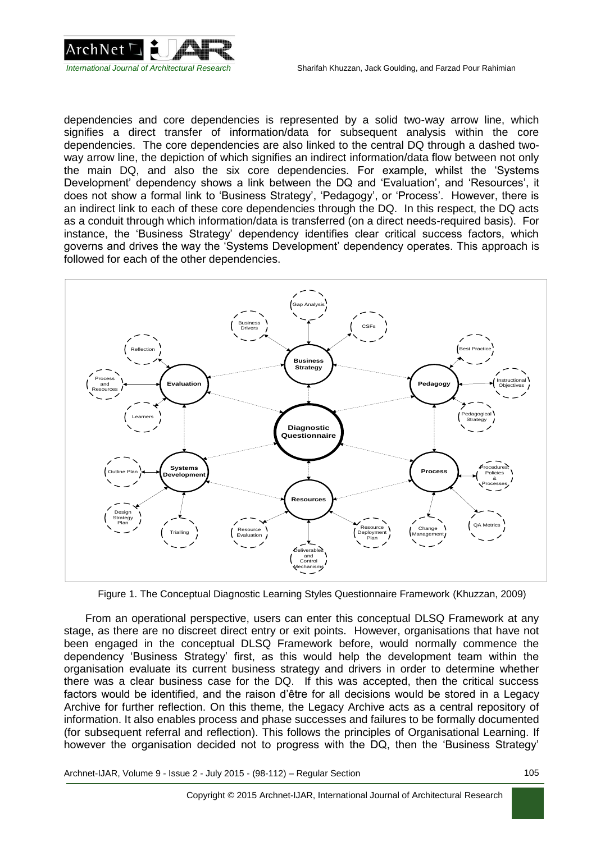

dependencies and core dependencies is represented by a solid two-way arrow line, which signifies a direct transfer of information/data for subsequent analysis within the core dependencies. The core dependencies are also linked to the central DQ through a dashed twoway arrow line, the depiction of which signifies an indirect information/data flow between not only the main DQ, and also the six core dependencies. For example, whilst the 'Systems Development' dependency shows a link between the DQ and 'Evaluation', and 'Resources', it does not show a formal link to 'Business Strategy', 'Pedagogy', or 'Process'. However, there is an indirect link to each of these core dependencies through the DQ. In this respect, the DQ acts as a conduit through which information/data is transferred (on a direct needs-required basis). For instance, the 'Business Strategy' dependency identifies clear critical success factors, which governs and drives the way the 'Systems Development' dependency operates. This approach is followed for each of the other dependencies.



Figure 1. The Conceptual Diagnostic Learning Styles Questionnaire Framework (Khuzzan, 2009)

From an operational perspective, users can enter this conceptual DLSQ Framework at any stage, as there are no discreet direct entry or exit points. However, organisations that have not been engaged in the conceptual DLSQ Framework before, would normally commence the dependency 'Business Strategy' first, as this would help the development team within the organisation evaluate its current business strategy and drivers in order to determine whether there was a clear business case for the DQ. If this was accepted, then the critical success factors would be identified, and the raison d'être for all decisions would be stored in a Legacy Archive for further reflection. On this theme, the Legacy Archive acts as a central repository of information. It also enables process and phase successes and failures to be formally documented (for subsequent referral and reflection). This follows the principles of Organisational Learning. If however the organisation decided not to progress with the DQ, then the 'Business Strategy'

Archnet-IJAR, Volume 9 - Issue 2 - July 2015 - (98-112) – Regular Section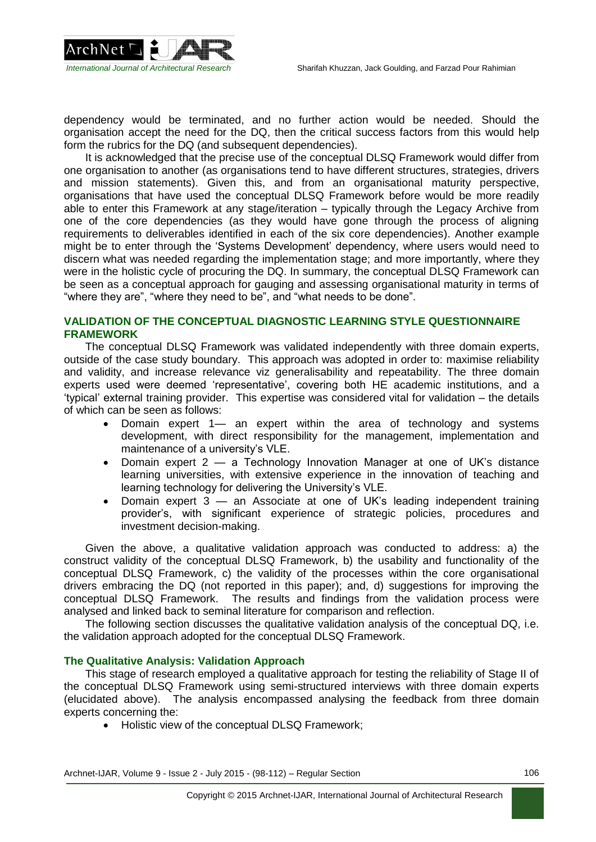

dependency would be terminated, and no further action would be needed. Should the organisation accept the need for the DQ, then the critical success factors from this would help form the rubrics for the DQ (and subsequent dependencies).

It is acknowledged that the precise use of the conceptual DLSQ Framework would differ from one organisation to another (as organisations tend to have different structures, strategies, drivers and mission statements). Given this, and from an organisational maturity perspective, organisations that have used the conceptual DLSQ Framework before would be more readily able to enter this Framework at any stage/iteration – typically through the Legacy Archive from one of the core dependencies (as they would have gone through the process of aligning requirements to deliverables identified in each of the six core dependencies). Another example might be to enter through the 'Systems Development' dependency, where users would need to discern what was needed regarding the implementation stage; and more importantly, where they were in the holistic cycle of procuring the DQ. In summary, the conceptual DLSQ Framework can be seen as a conceptual approach for gauging and assessing organisational maturity in terms of "where they are", "where they need to be", and "what needs to be done".

### **VALIDATION OF THE CONCEPTUAL DIAGNOSTIC LEARNING STYLE QUESTIONNAIRE FRAMEWORK**

The conceptual DLSQ Framework was validated independently with three domain experts, outside of the case study boundary. This approach was adopted in order to: maximise reliability and validity, and increase relevance viz generalisability and repeatability. The three domain experts used were deemed 'representative', covering both HE academic institutions, and a 'typical' external training provider. This expertise was considered vital for validation – the details of which can be seen as follows:

- Domain expert 1— an expert within the area of technology and systems development, with direct responsibility for the management, implementation and maintenance of a university's VLE.
- Domain expert 2 a Technology Innovation Manager at one of UK's distance learning universities, with extensive experience in the innovation of teaching and learning technology for delivering the University's VLE.
- Domain expert 3 an Associate at one of UK's leading independent training provider's, with significant experience of strategic policies, procedures and investment decision-making.

Given the above, a qualitative validation approach was conducted to address: a) the construct validity of the conceptual DLSQ Framework, b) the usability and functionality of the conceptual DLSQ Framework, c) the validity of the processes within the core organisational drivers embracing the DQ (not reported in this paper); and, d) suggestions for improving the conceptual DLSQ Framework. The results and findings from the validation process were analysed and linked back to seminal literature for comparison and reflection.

The following section discusses the qualitative validation analysis of the conceptual DQ, i.e. the validation approach adopted for the conceptual DLSQ Framework.

### **The Qualitative Analysis: Validation Approach**

This stage of research employed a qualitative approach for testing the reliability of Stage II of the conceptual DLSQ Framework using semi-structured interviews with three domain experts (elucidated above). The analysis encompassed analysing the feedback from three domain experts concerning the:

Holistic view of the conceptual DLSQ Framework;

Archnet-IJAR, Volume 9 - Issue 2 - July 2015 - (98-112) – Regular Section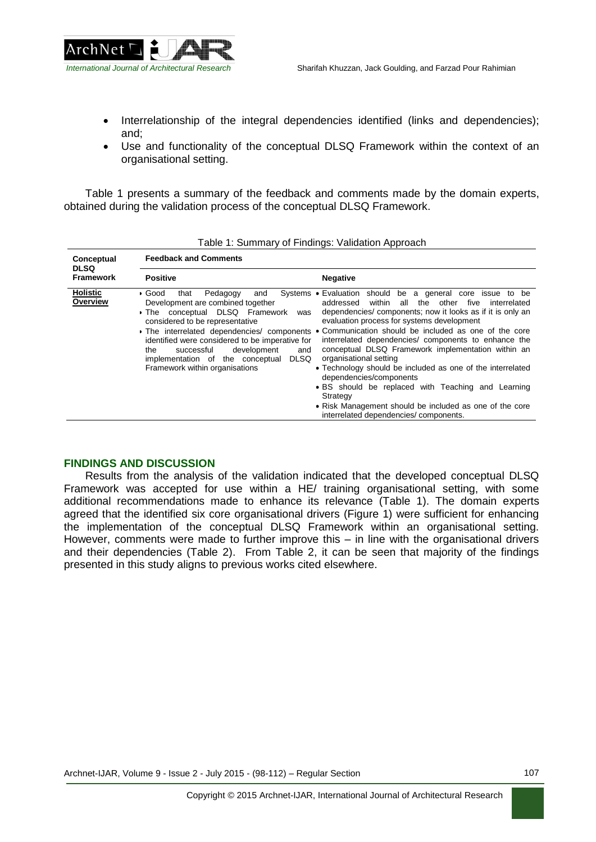

- Interrelationship of the integral dependencies identified (links and dependencies); and;
- Use and functionality of the conceptual DLSQ Framework within the context of an organisational setting.

Table 1 presents a summary of the feedback and comments made by the domain experts, obtained during the validation process of the conceptual DLSQ Framework.

| rable 1. Summary or Finangs. Validation Approach |                                                                                                                                                                                                                                                                                                                                                                                                |                                                                                                                                                                                                                                                                                                                                                                                                                                                                                                                                                                                                                                                                                                 |  |  |
|--------------------------------------------------|------------------------------------------------------------------------------------------------------------------------------------------------------------------------------------------------------------------------------------------------------------------------------------------------------------------------------------------------------------------------------------------------|-------------------------------------------------------------------------------------------------------------------------------------------------------------------------------------------------------------------------------------------------------------------------------------------------------------------------------------------------------------------------------------------------------------------------------------------------------------------------------------------------------------------------------------------------------------------------------------------------------------------------------------------------------------------------------------------------|--|--|
| Conceptual<br><b>DLSQ</b><br><b>Framework</b>    | <b>Feedback and Comments</b>                                                                                                                                                                                                                                                                                                                                                                   |                                                                                                                                                                                                                                                                                                                                                                                                                                                                                                                                                                                                                                                                                                 |  |  |
|                                                  | <b>Positive</b>                                                                                                                                                                                                                                                                                                                                                                                | <b>Negative</b>                                                                                                                                                                                                                                                                                                                                                                                                                                                                                                                                                                                                                                                                                 |  |  |
| <b>Holistic</b><br>Overview                      | Pedagogy<br>Systems<br>∙ Good<br>that<br>and<br>Development are combined together<br>The conceptual DLSQ Framework<br>was<br>considered to be representative<br>• The interrelated dependencies/ components<br>identified were considered to be imperative for<br>successful<br>development<br>and<br>the<br>implementation of the conceptual<br><b>DLSQ</b><br>Framework within organisations | should be a general core issue to be<br>■ Evaluation<br>all the other<br>within<br>addressed<br>five<br>interrelated<br>dependencies/components; now it looks as if it is only an<br>evaluation process for systems development<br>• Communication should be included as one of the core<br>interrelated dependencies/ components to enhance the<br>conceptual DLSQ Framework implementation within an<br>organisational setting<br>• Technology should be included as one of the interrelated<br>dependencies/components<br>• BS should be replaced with Teaching and Learning<br>Strategy<br>• Risk Management should be included as one of the core<br>interrelated dependencies/components. |  |  |

Table 1: Summary of Findings: Validation Approach

### **FINDINGS AND DISCUSSION**

Results from the analysis of the validation indicated that the developed conceptual DLSQ Framework was accepted for use within a HE/ training organisational setting, with some additional recommendations made to enhance its relevance (Table 1). The domain experts agreed that the identified six core organisational drivers (Figure 1) were sufficient for enhancing the implementation of the conceptual DLSQ Framework within an organisational setting. However, comments were made to further improve this – in line with the organisational drivers and their dependencies (Table 2). From Table 2, it can be seen that majority of the findings presented in this study aligns to previous works cited elsewhere.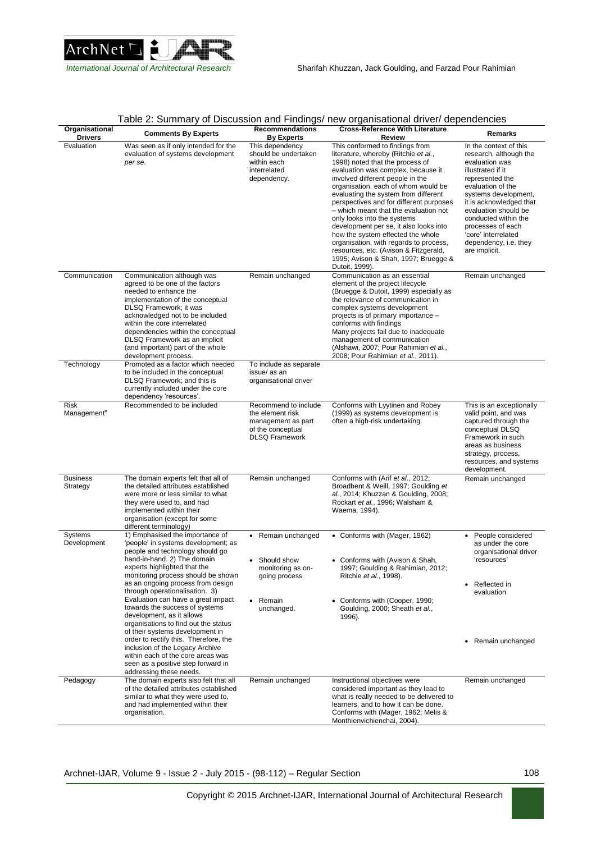

| Organisational<br><b>Drivers</b> | <b>Comments By Experts</b>                                                                                                                                                                                                                                                                                                                                                                                                                                            | <b>Recommendations</b><br><b>By Experts</b>                                                                               | <b>Cross-Reference With Literature</b><br>Review                                                                                                                                                                                                                                                                                                                                                                                                                                                                                                                                                                   | Remarks                                                                                                                                                                                                                                                                                                                  |
|----------------------------------|-----------------------------------------------------------------------------------------------------------------------------------------------------------------------------------------------------------------------------------------------------------------------------------------------------------------------------------------------------------------------------------------------------------------------------------------------------------------------|---------------------------------------------------------------------------------------------------------------------------|--------------------------------------------------------------------------------------------------------------------------------------------------------------------------------------------------------------------------------------------------------------------------------------------------------------------------------------------------------------------------------------------------------------------------------------------------------------------------------------------------------------------------------------------------------------------------------------------------------------------|--------------------------------------------------------------------------------------------------------------------------------------------------------------------------------------------------------------------------------------------------------------------------------------------------------------------------|
| Evaluation                       | Was seen as if only intended for the<br>evaluation of systems development<br>per se.                                                                                                                                                                                                                                                                                                                                                                                  | This dependency<br>should be undertaken<br>within each<br>interrelated<br>dependency.                                     | This conformed to findings from<br>literature, whereby (Ritchie et al.,<br>1998) noted that the process of<br>evaluation was complex, because it<br>involved different people in the<br>organisation, each of whom would be<br>evaluating the system from different<br>perspectives and for different purposes<br>- which meant that the evaluation not<br>only looks into the systems<br>development per se, it also looks into<br>how the system effected the whole<br>organisation, with regards to process,<br>resources, etc. (Avison & Fitzgerald,<br>1995; Avison & Shah, 1997; Bruegge &<br>Dutoit, 1999). | In the context of this<br>research, although the<br>evaluation was<br>illustrated if it<br>represented the<br>evaluation of the<br>systems development,<br>it is acknowledged that<br>evaluation should be<br>conducted within the<br>processes of each<br>'core' interrelated<br>dependency, i.e. they<br>are implicit. |
| Communication                    | Communication although was<br>agreed to be one of the factors<br>needed to enhance the<br>implementation of the conceptual<br>DLSQ Framework; it was<br>acknowledged not to be included<br>within the core interrelated<br>dependencies within the conceptual<br>DLSQ Framework as an implicit<br>(and important) part of the whole<br>development process.                                                                                                           | Remain unchanged                                                                                                          | Communication as an essential<br>element of the project lifecycle<br>(Bruegge & Dutoit, 1999) especially as<br>the relevance of communication in<br>complex systems development<br>projects is of primary importance -<br>conforms with findings<br>Many projects fail due to inadequate<br>management of communication<br>(Alshawi, 2007; Pour Rahimian et al.,<br>2008; Pour Rahimian et al., 2011).                                                                                                                                                                                                             | Remain unchanged                                                                                                                                                                                                                                                                                                         |
| Technology                       | Promoted as a factor which needed<br>to be included in the conceptual<br>DLSQ Framework; and this is<br>currently included under the core<br>dependency 'resources'.                                                                                                                                                                                                                                                                                                  | To include as separate<br>issue/as an<br>organisational driver                                                            |                                                                                                                                                                                                                                                                                                                                                                                                                                                                                                                                                                                                                    |                                                                                                                                                                                                                                                                                                                          |
| Risk<br>Management#              | Recommended to be included                                                                                                                                                                                                                                                                                                                                                                                                                                            | Recommend to include<br>the element risk<br>management as part<br>of the conceptual<br><b>DLSQ Framework</b>              | Conforms with Lyytinen and Robey<br>(1999) as systems development is<br>often a high-risk undertaking.                                                                                                                                                                                                                                                                                                                                                                                                                                                                                                             | This is an exceptionally<br>valid point, and was<br>captured through the<br>conceptual DLSQ<br>Framework in such<br>areas as business<br>strategy, process,<br>resources, and systems<br>development.                                                                                                                    |
| <b>Business</b><br>Strategy      | The domain experts felt that all of<br>the detailed attributes established<br>were more or less similar to what<br>they were used to, and had<br>implemented within their<br>organisation (except for some<br>different terminology)                                                                                                                                                                                                                                  | Remain unchanged                                                                                                          | Conforms with (Arif et al., 2012;<br>Broadbent & Weill, 1997; Goulding et<br>al., 2014; Khuzzan & Goulding, 2008;<br>Rockart et al., 1996; Walsham &<br>Waema, 1994).                                                                                                                                                                                                                                                                                                                                                                                                                                              | Remain unchanged                                                                                                                                                                                                                                                                                                         |
| Systems<br>Development           | 1) Emphasised the importance of<br>'people' in systems development; as<br>people and technology should go<br>hand-in-hand. 2) The domain<br>experts highlighted that the<br>monitoring process should be shown<br>as an ongoing process from design<br>through operationalisation. 3)<br>Evaluation can have a great impact<br>towards the success of systems<br>development, as it allows<br>organisations to find out the status<br>of their systems development in | Remain unchanged<br>$\bullet$<br>Should show<br>$\bullet$<br>monitoring as on-<br>going process<br>• Remain<br>unchanged. | • Conforms with (Mager, 1962)<br>• Conforms with (Avison & Shah,<br>1997; Goulding & Rahimian, 2012;<br>Ritchie et al., 1998).<br>• Conforms with (Cooper, 1990;<br>Goulding, 2000; Sheath et al.,<br>1996).                                                                                                                                                                                                                                                                                                                                                                                                       | People considered<br>$\bullet$<br>as under the core<br>organisational driver<br>'resources'<br>Reflected in<br>evaluation                                                                                                                                                                                                |
|                                  | order to rectify this. Therefore, the<br>inclusion of the Legacy Archive<br>within each of the core areas was<br>seen as a positive step forward in<br>addressing these needs.                                                                                                                                                                                                                                                                                        |                                                                                                                           |                                                                                                                                                                                                                                                                                                                                                                                                                                                                                                                                                                                                                    | Remain unchanged                                                                                                                                                                                                                                                                                                         |
| Pedagogy                         | The domain experts also felt that all<br>of the detailed attributes established<br>similar to what they were used to,<br>and had implemented within their<br>organisation.                                                                                                                                                                                                                                                                                            | Remain unchanged                                                                                                          | Instructional objectives were<br>considered important as they lead to<br>what is really needed to be delivered to<br>learners, and to how it can be done.<br>Conforms with (Mager, 1962; Melis &<br>Monthienvichienchai, 2004).                                                                                                                                                                                                                                                                                                                                                                                    | Remain unchanged                                                                                                                                                                                                                                                                                                         |

### Table 2: Summary of Discussion and Findings/ new organisational driver/ dependencies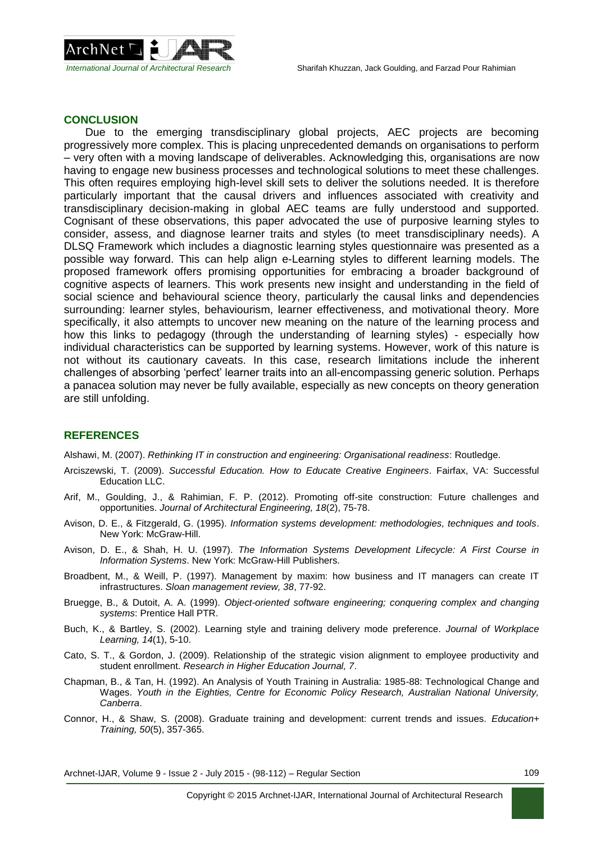

#### **CONCLUSION**

Due to the emerging transdisciplinary global projects, AEC projects are becoming progressively more complex. This is placing unprecedented demands on organisations to perform – very often with a moving landscape of deliverables. Acknowledging this, organisations are now having to engage new business processes and technological solutions to meet these challenges. This often requires employing high-level skill sets to deliver the solutions needed. It is therefore particularly important that the causal drivers and influences associated with creativity and transdisciplinary decision-making in global AEC teams are fully understood and supported. Cognisant of these observations, this paper advocated the use of purposive learning styles to consider, assess, and diagnose learner traits and styles (to meet transdisciplinary needs). A DLSQ Framework which includes a diagnostic learning styles questionnaire was presented as a possible way forward. This can help align e-Learning styles to different learning models. The proposed framework offers promising opportunities for embracing a broader background of cognitive aspects of learners. This work presents new insight and understanding in the field of social science and behavioural science theory, particularly the causal links and dependencies surrounding: learner styles, behaviourism, learner effectiveness, and motivational theory. More specifically, it also attempts to uncover new meaning on the nature of the learning process and how this links to pedagogy (through the understanding of learning styles) - especially how individual characteristics can be supported by learning systems. However, work of this nature is not without its cautionary caveats. In this case, research limitations include the inherent challenges of absorbing 'perfect' learner traits into an all-encompassing generic solution. Perhaps a panacea solution may never be fully available, especially as new concepts on theory generation are still unfolding.

### **REFERENCES**

Alshawi, M. (2007). *Rethinking IT in construction and engineering: Organisational readiness*: Routledge.

- Arciszewski, T. (2009). *Successful Education. How to Educate Creative Engineers*. Fairfax, VA: Successful Education LLC.
- Arif, M., Goulding, J., & Rahimian, F. P. (2012). Promoting off-site construction: Future challenges and opportunities. *Journal of Architectural Engineering, 18*(2), 75-78.
- Avison, D. E., & Fitzgerald, G. (1995). *Information systems development: methodologies, techniques and tools*. New York: McGraw-Hill.
- Avison, D. E., & Shah, H. U. (1997). *The Information Systems Development Lifecycle: A First Course in Information Systems*. New York: McGraw-Hill Publishers.
- Broadbent, M., & Weill, P. (1997). Management by maxim: how business and IT managers can create IT infrastructures. *Sloan management review, 38*, 77-92.
- Bruegge, B., & Dutoit, A. A. (1999). *Object-oriented software engineering; conquering complex and changing systems*: Prentice Hall PTR.
- Buch, K., & Bartley, S. (2002). Learning style and training delivery mode preference. *Journal of Workplace Learning, 14*(1), 5-10.
- Cato, S. T., & Gordon, J. (2009). Relationship of the strategic vision alignment to employee productivity and student enrollment. *Research in Higher Education Journal, 7*.
- Chapman, B., & Tan, H. (1992). An Analysis of Youth Training in Australia: 1985-88: Technological Change and Wages. *Youth in the Eighties, Centre for Economic Policy Research, Australian National University, Canberra*.
- Connor, H., & Shaw, S. (2008). Graduate training and development: current trends and issues. *Education+ Training, 50*(5), 357-365.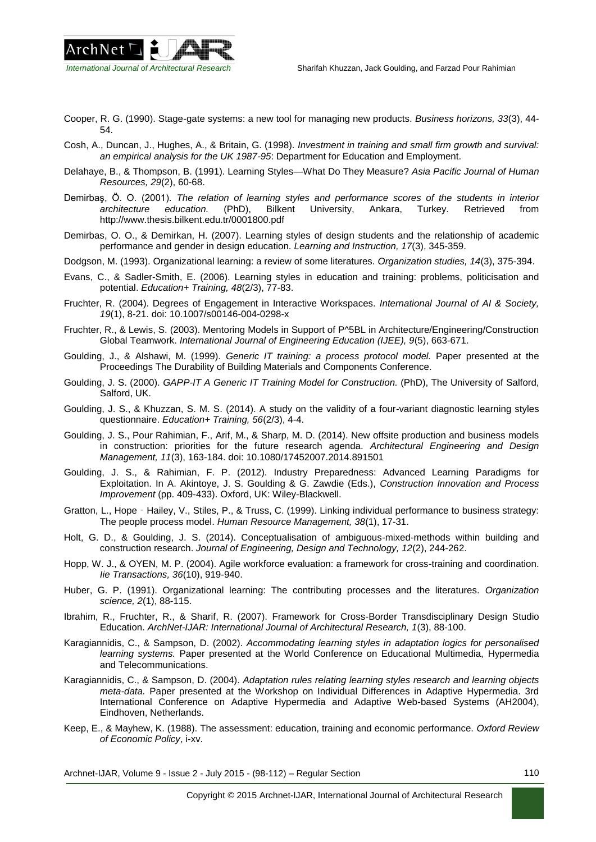

- Cooper, R. G. (1990). Stage-gate systems: a new tool for managing new products. *Business horizons, 33*(3), 44- 54.
- Cosh, A., Duncan, J., Hughes, A., & Britain, G. (1998). *Investment in training and small firm growth and survival: an empirical analysis for the UK 1987-95*: Department for Education and Employment.
- Delahaye, B., & Thompson, B. (1991). Learning Styles—What Do They Measure? *Asia Pacific Journal of Human Resources, 29*(2), 60-68.
- Demirbaş, Ö. O. (2001). *The relation of learning styles and performance scores of the students in interior architecture education.* (PhD), Bilkent University, Ankara, Turkey. Retrieved from <http://www.thesis.bilkent.edu.tr/0001800.pdf>
- Demirbas, O. O., & Demirkan, H. (2007). Learning styles of design students and the relationship of academic performance and gender in design education. *Learning and Instruction, 17*(3), 345-359.
- Dodgson, M. (1993). Organizational learning: a review of some literatures. *Organization studies, 14*(3), 375-394.
- Evans, C., & Sadler-Smith, E. (2006). Learning styles in education and training: problems, politicisation and potential. *Education+ Training, 48*(2/3), 77-83.
- Fruchter, R. (2004). Degrees of Engagement in Interactive Workspaces. *International Journal of AI & Society, 19*(1), 8-21. doi: 10.1007/s00146-004-0298-x
- Fruchter, R., & Lewis, S. (2003). Mentoring Models in Support of P^5BL in Architecture/Engineering/Construction Global Teamwork. *International Journal of Engineering Education (IJEE), 9*(5), 663-671.
- Goulding, J., & Alshawi, M. (1999). *Generic IT training: a process protocol model.* Paper presented at the Proceedings The Durability of Building Materials and Components Conference.
- Goulding, J. S. (2000). *GAPP-IT A Generic IT Training Model for Construction.* (PhD), The University of Salford, Salford, UK.
- Goulding, J. S., & Khuzzan, S. M. S. (2014). A study on the validity of a four-variant diagnostic learning styles questionnaire. *Education+ Training, 56*(2/3), 4-4.
- Goulding, J. S., Pour Rahimian, F., Arif, M., & Sharp, M. D. (2014). New offsite production and business models in construction: priorities for the future research agenda. *Architectural Engineering and Design Management, 11*(3), 163-184. doi: 10.1080/17452007.2014.891501
- Goulding, J. S., & Rahimian, F. P. (2012). Industry Preparedness: Advanced Learning Paradigms for Exploitation. In A. Akintoye, J. S. Goulding & G. Zawdie (Eds.), *Construction Innovation and Process Improvement* (pp. 409-433). Oxford, UK: Wiley-Blackwell.
- Gratton, L., Hope‐Hailey, V., Stiles, P., & Truss, C. (1999). Linking individual performance to business strategy: The people process model. *Human Resource Management, 38*(1), 17-31.
- Holt, G. D., & Goulding, J. S. (2014). Conceptualisation of ambiguous-mixed-methods within building and construction research. *Journal of Engineering, Design and Technology, 12*(2), 244-262.
- Hopp, W. J., & OYEN, M. P. (2004). Agile workforce evaluation: a framework for cross-training and coordination. *Iie Transactions, 36*(10), 919-940.
- Huber, G. P. (1991). Organizational learning: The contributing processes and the literatures. *Organization science, 2*(1), 88-115.
- Ibrahim, R., Fruchter, R., & Sharif, R. (2007). Framework for Cross-Border Transdisciplinary Design Studio Education. *ArchNet-IJAR: International Journal of Architectural Research, 1*(3), 88-100.
- Karagiannidis, C., & Sampson, D. (2002). *Accommodating learning styles in adaptation logics for personalised learning systems.* Paper presented at the World Conference on Educational Multimedia, Hypermedia and Telecommunications.
- Karagiannidis, C., & Sampson, D. (2004). *Adaptation rules relating learning styles research and learning objects meta-data.* Paper presented at the Workshop on Individual Differences in Adaptive Hypermedia. 3rd International Conference on Adaptive Hypermedia and Adaptive Web-based Systems (AH2004), Eindhoven, Netherlands.
- Keep, E., & Mayhew, K. (1988). The assessment: education, training and economic performance. *Oxford Review of Economic Policy*, i-xv.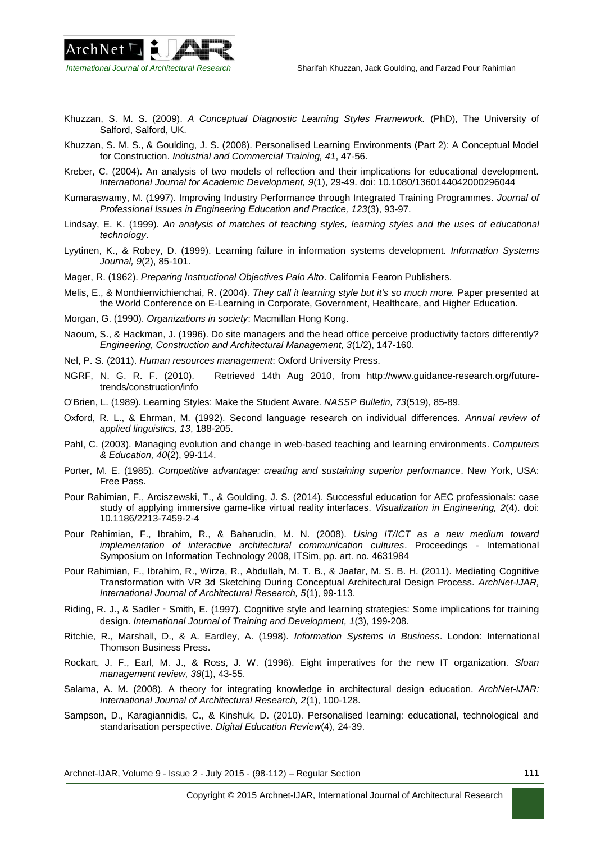

- Khuzzan, S. M. S. (2009). *A Conceptual Diagnostic Learning Styles Framework.* (PhD), The University of Salford, Salford, UK.
- Khuzzan, S. M. S., & Goulding, J. S. (2008). Personalised Learning Environments (Part 2): A Conceptual Model for Construction. *Industrial and Commercial Training, 41*, 47-56.
- Kreber, C. (2004). An analysis of two models of reflection and their implications for educational development. *International Journal for Academic Development, 9*(1), 29-49. doi: 10.1080/1360144042000296044
- Kumaraswamy, M. (1997). Improving Industry Performance through Integrated Training Programmes. *Journal of Professional Issues in Engineering Education and Practice, 123*(3), 93-97.
- Lindsay, E. K. (1999). *An analysis of matches of teaching styles, learning styles and the uses of educational technology*.
- Lyytinen, K., & Robey, D. (1999). Learning failure in information systems development. *Information Systems Journal, 9*(2), 85-101.
- Mager, R. (1962). *Preparing Instructional Objectives Palo Alto*. California Fearon Publishers.
- Melis, E., & Monthienvichienchai, R. (2004). *They call it learning style but it's so much more.* Paper presented at the World Conference on E-Learning in Corporate, Government, Healthcare, and Higher Education.
- Morgan, G. (1990). *Organizations in society*: Macmillan Hong Kong.
- Naoum, S., & Hackman, J. (1996). Do site managers and the head office perceive productivity factors differently? *Engineering, Construction and Architectural Management, 3*(1/2), 147-160.
- Nel, P. S. (2011). *Human resources management*: Oxford University Press.
- NGRF, N. G. R. F. (2010). Retrieved 14th Aug 2010, from [http://www.guidance-research.org/future](http://www.guidance-research.org/future-trends/construction/info)[trends/construction/info](http://www.guidance-research.org/future-trends/construction/info)
- O'Brien, L. (1989). Learning Styles: Make the Student Aware. *NASSP Bulletin, 73*(519), 85-89.
- Oxford, R. L., & Ehrman, M. (1992). Second language research on individual differences. *Annual review of applied linguistics, 13*, 188-205.
- Pahl, C. (2003). Managing evolution and change in web-based teaching and learning environments. *Computers & Education, 40*(2), 99-114.
- Porter, M. E. (1985). *Competitive advantage: creating and sustaining superior performance*. New York, USA: Free Pass.
- Pour Rahimian, F., Arciszewski, T., & Goulding, J. S. (2014). Successful education for AEC professionals: case study of applying immersive game-like virtual reality interfaces. *Visualization in Engineering, 2*(4). doi: 10.1186/2213-7459-2-4
- Pour Rahimian, F., Ibrahim, R., & Baharudin, M. N. (2008). *Using IT/ICT as a new medium toward implementation of interactive architectural communication cultures*. Proceedings - International Symposium on Information Technology 2008, ITSim, pp. art. no. 4631984
- Pour Rahimian, F., Ibrahim, R., Wirza, R., Abdullah, M. T. B., & Jaafar, M. S. B. H. (2011). Mediating Cognitive Transformation with VR 3d Sketching During Conceptual Architectural Design Process. *ArchNet-IJAR, International Journal of Architectural Research, 5*(1), 99-113.
- Riding, R. J., & Sadler‐Smith, E. (1997). Cognitive style and learning strategies: Some implications for training design. *International Journal of Training and Development, 1*(3), 199-208.
- Ritchie, R., Marshall, D., & A. Eardley, A. (1998). *Information Systems in Business*. London: International Thomson Business Press.
- Rockart, J. F., Earl, M. J., & Ross, J. W. (1996). Eight imperatives for the new IT organization. *Sloan management review, 38*(1), 43-55.
- Salama, A. M. (2008). A theory for integrating knowledge in architectural design education. *ArchNet-IJAR: International Journal of Architectural Research, 2*(1), 100-128.
- Sampson, D., Karagiannidis, C., & Kinshuk, D. (2010). Personalised learning: educational, technological and standarisation perspective. *Digital Education Review*(4), 24-39.